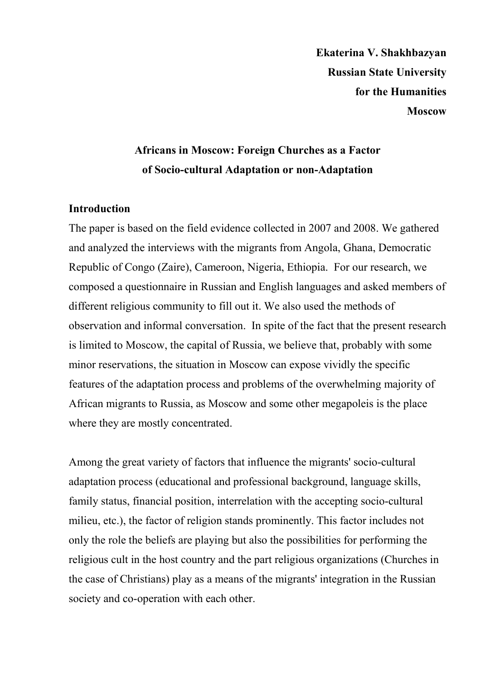**Ekaterina V. Shakhbazyan Russian State University for the Humanities Moscow** 

# **Africans in Moscow: Foreign Churches as a Factor of Socio-cultural Adaptation or non-Adaptation**

# **Introduction**

The paper is based on the field evidence collected in 2007 and 2008. We gathered and analyzed the interviews with the migrants from Angola, Ghana, Democratic Republic of Congo (Zaire), Cameroon, Nigeria, Ethiopia. For our research, we composed a questionnaire in Russian and English languages and asked members of different religious community to fill out it. We also used the methods of observation and informal conversation. In spite of the fact that the present research is limited to Moscow, the capital of Russia, we believe that, probably with some minor reservations, the situation in Moscow can expose vividly the specific features of the adaptation process and problems of the overwhelming majority of African migrants to Russia, as Moscow and some other megapoleis is the place where they are mostly concentrated.

Among the great variety of factors that influence the migrants' socio-cultural adaptation process (educational and professional background, language skills, family status, financial position, interrelation with the accepting socio-cultural milieu, etc.), the factor of religion stands prominently. This factor includes not only the role the beliefs are playing but also the possibilities for performing the religious cult in the host country and the part religious organizations (Churches in the case of Christians) play as a means of the migrants' integration in the Russian society and co-operation with each other.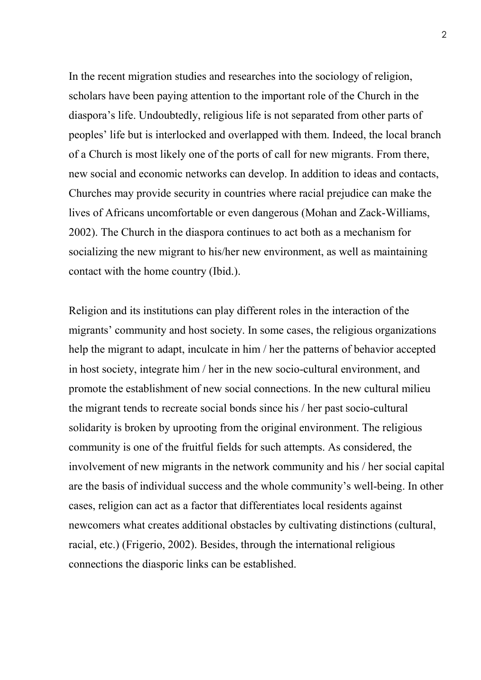In the recent migration studies and researches into the sociology of religion, scholars have been paying attention to the important role of the Church in the diaspora's life. Undoubtedly, religious life is not separated from other parts of peoples' life but is interlocked and overlapped with them. Indeed, the local branch of a Church is most likely one of the ports of call for new migrants. From there, new social and economic networks can develop. In addition to ideas and contacts, Churches may provide security in countries where racial prejudice can make the lives of Africans uncomfortable or even dangerous (Mohan and Zack-Williams, 2002). The Church in the diaspora continues to act both as a mechanism for socializing the new migrant to his/her new environment, as well as maintaining contact with the home country (Ibid.).

Religion and its institutions can play different roles in the interaction of the migrants' community and host society. In some cases, the religious organizations help the migrant to adapt, inculcate in him / her the patterns of behavior accepted in host society, integrate him / her in the new socio-cultural environment, and promote the establishment of new social connections. In the new cultural milieu the migrant tends to recreate social bonds since his / her past socio-cultural solidarity is broken by uprooting from the original environment. The religious community is one of the fruitful fields for such attempts. As considered, the involvement of new migrants in the network community and his / her social capital are the basis of individual success and the whole community's well-being. In other cases, religion can act as a factor that differentiates local residents against newcomers what creates additional obstacles by cultivating distinctions (cultural, racial, etc.) (Frigerio, 2002). Besides, through the international religious connections the diasporic links can be established.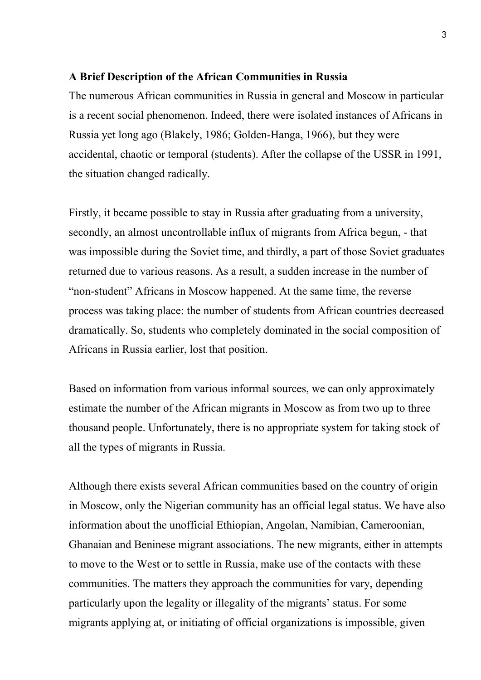# **A Brief Description of the African Communities in Russia**

The numerous African communities in Russia in general and Moscow in particular is a recent social phenomenon. Indeed, there were isolated instances of Africans in Russia yet long ago (Blakely, 1986; Golden-Hanga, 1966), but they were accidental, chaotic or temporal (students). After the collapse of the USSR in 1991, the situation changed radically.

Firstly, it became possible to stay in Russia after graduating from a university, secondly, an almost uncontrollable influx of migrants from Africa begun, - that was impossible during the Soviet time, and thirdly, a part of those Soviet graduates returned due to various reasons. As a result, a sudden increase in the number of "non-student" Africans in Moscow happened. At the same time, the reverse process was taking place: the number of students from African countries decreased dramatically. So, students who completely dominated in the social composition of Africans in Russia earlier, lost that position.

Based on information from various informal sources, we can only approximately estimate the number of the African migrants in Moscow as from two up to three thousand people. Unfortunately, there is no appropriate system for taking stock of all the types of migrants in Russia.

Although there exists several African communities based on the country of origin in Moscow, only the Nigerian community has an official legal status. We have also information about the unofficial Ethiopian, Angolan, Namibian, Cameroonian, Ghanaian and Beninese migrant associations. The new migrants, either in attempts to move to the West or to settle in Russia, make use of the contacts with these communities. The matters they approach the communities for vary, depending particularly upon the legality or illegality of the migrants' status. For some migrants applying at, or initiating of official organizations is impossible, given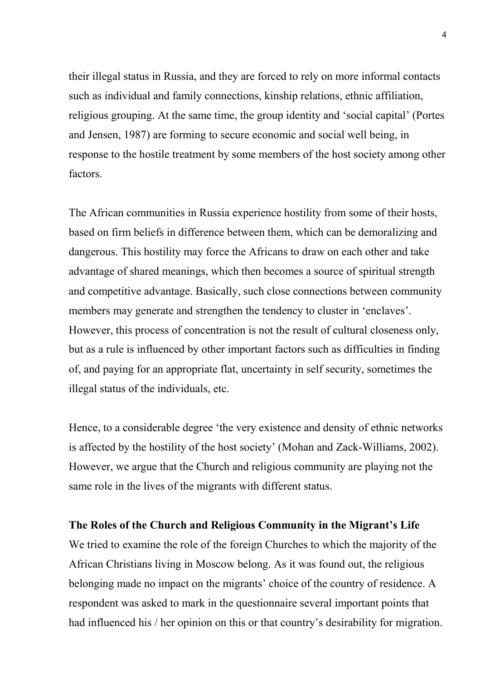their illegal status in Russia, and they are forced to rely on more informal contacts such as individual and family connections, kinship relations, ethnic affiliation, religious grouping. At the same time, the group identity and 'social capital' (Portes and Jensen, 1987) are forming to secure economic and social well being, in response to the hostile treatment by some members of the host society among other factors.

The African communities in Russia experience hostility from some of their hosts, based on firm beliefs in difference between them, which can be demoralizing and dangerous. This hostility may force the Africans to draw on each other and take advantage of shared meanings, which then becomes a source of spiritual strength and competitive advantage. Basically, such close connections between community members may generate and strengthen the tendency to cluster in 'enclaves'. However, this process of concentration is not the result of cultural closeness only, but as a rule is influenced by other important factors such as difficulties in finding of, and paying for an appropriate flat, uncertainty in self security, sometimes the illegal status of the individuals, etc.

Hence, to a considerable degree 'the very existence and density of ethnic networks is affected by the hostility of the host society' (Mohan and Zack-Williams, 2002). However, we argue that the Church and religious community are playing not the same role in the lives of the migrants with different status.

#### **The Roles of the Church and Religious Community in the Migrant's Life**

We tried to examine the role of the foreign Churches to which the majority of the African Christians living in Moscow belong. As it was found out, the religious belonging made no impact on the migrants' choice of the country of residence. A respondent was asked to mark in the questionnaire several important points that had influenced his / her opinion on this or that country's desirability for migration.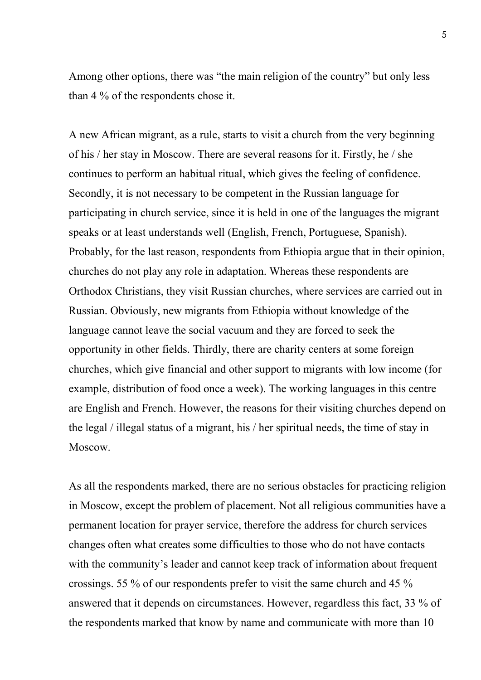Among other options, there was "the main religion of the country" but only less than 4 % of the respondents chose it.

A new African migrant, as a rule, starts to visit a church from the very beginning of his / her stay in Moscow. There are several reasons for it. Firstly, he / she continues to perform an habitual ritual, which gives the feeling of confidence. Secondly, it is not necessary to be competent in the Russian language for participating in church service, since it is held in one of the languages the migrant speaks or at least understands well (English, French, Portuguese, Spanish). Probably, for the last reason, respondents from Ethiopia argue that in their opinion, churches do not play any role in adaptation. Whereas these respondents are Orthodox Christians, they visit Russian churches, where services are carried out in Russian. Obviously, new migrants from Ethiopia without knowledge of the language cannot leave the social vacuum and they are forced to seek the opportunity in other fields. Thirdly, there are charity centers at some foreign churches, which give financial and other support to migrants with low income (for example, distribution of food once a week). The working languages in this centre are English and French. However, the reasons for their visiting churches depend on the legal / illegal status of a migrant, his / her spiritual needs, the time of stay in Moscow.

As all the respondents marked, there are no serious obstacles for practicing religion in Moscow, except the problem of placement. Not all religious communities have a permanent location for prayer service, therefore the address for church services changes often what creates some difficulties to those who do not have contacts with the community's leader and cannot keep track of information about frequent crossings. 55 % of our respondents prefer to visit the same church and 45 % answered that it depends on circumstances. However, regardless this fact, 33 % of the respondents marked that know by name and communicate with more than 10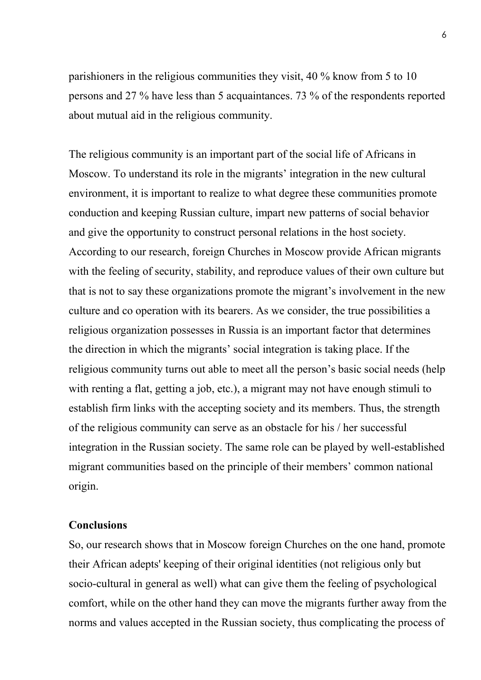parishioners in the religious communities they visit, 40 % know from 5 to 10 persons and 27 % have less than 5 acquaintances. 73 % of the respondents reported about mutual aid in the religious community.

The religious community is an important part of the social life of Africans in Moscow. To understand its role in the migrants' integration in the new cultural environment, it is important to realize to what degree these communities promote conduction and keeping Russian culture, impart new patterns of social behavior and give the opportunity to construct personal relations in the host society. According to our research, foreign Churches in Moscow provide African migrants with the feeling of security, stability, and reproduce values of their own culture but that is not to say these organizations promote the migrant's involvement in the new culture and co operation with its bearers. As we consider, the true possibilities a religious organization possesses in Russia is an important factor that determines the direction in which the migrants' social integration is taking place. If the religious community turns out able to meet all the person's basic social needs (help with renting a flat, getting a job, etc.), a migrant may not have enough stimuli to establish firm links with the accepting society and its members. Thus, the strength of the religious community can serve as an obstacle for his / her successful integration in the Russian society. The same role can be played by well-established migrant communities based on the principle of their members' common national origin.

# **Conclusions**

So, our research shows that in Moscow foreign Churches on the one hand, promote their African adepts' keeping of their original identities (not religious only but socio-cultural in general as well) what can give them the feeling of psychological comfort, while on the other hand they can move the migrants further away from the norms and values accepted in the Russian society, thus complicating the process of